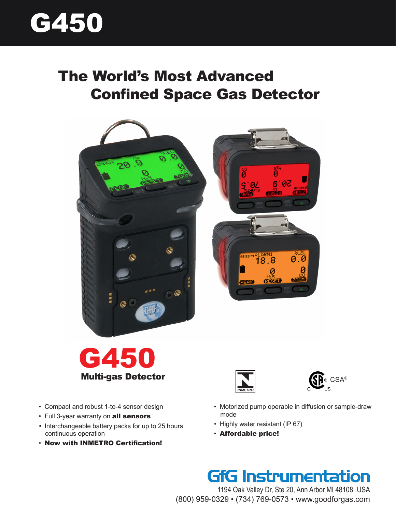

# The World's Most Advanced Confined Space Gas Detector









- Motorized pump operable in diffusion or sample-draw mode
	- Highly water resistant (IP 67)
	- Affordable price!

# GfG Instrumentation

1194 Oak Valley Dr, Ste 20, Ann Arbor MI 48108 USA (800) 959-0329 • (734) 769-0573 • www.goodforgas.com

- Compact and robust 1-to-4 sensor design
- Full 3-year warranty on all sensors
- Interchangeable battery packs for up to 25 hours continuous operation
- Now with INMETRO Certification!